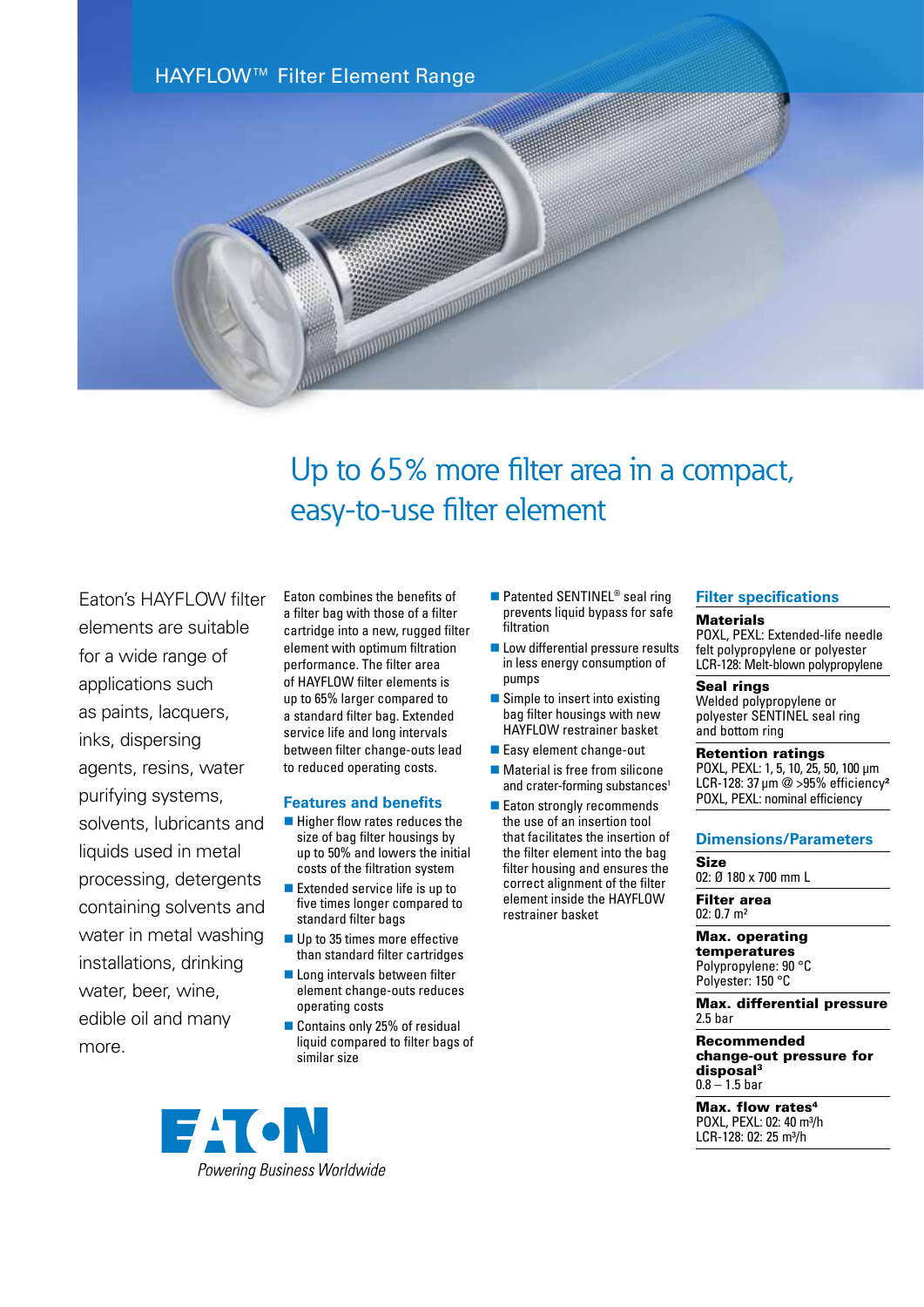

# Up to 65% more filter area in a compact, easy-to-use filter element

Eaton's HAYFLOW filter elements are suitable for a wide range of applications such as paints, lacquers, inks, dispersing agents, resins, water purifying systems, solvents, lubricants and liquids used in metal processing, detergents containing solvents and water in metal washing installations, drinking water, beer, wine, edible oil and many more.

Eaton combines the benefits of a filter bag with those of a filter cartridge into a new, rugged filter element with optimum filtration performance. The filter area of HAYFLOW filter elements is up to 65% larger compared to a standard filter bag. Extended service life and long intervals between filter change-outs lead to reduced operating costs.

#### **Features and benefits**

- $\blacksquare$  Higher flow rates reduces the size of bag filter housings by up to 50% and lowers the initial costs of the filtration system
- $\blacksquare$  Extended service life is up to five times longer compared to standard filter bags
- $\blacksquare$  Up to 35 times more effective than standard filter cartridges
- **n** Long intervals between filter element change-outs reduces operating costs
- Contains only 25% of residual liquid compared to filter bags of similar size
- **EACN**

Powering Business Worldwide

- $\blacksquare$  Patented SENTINEL<sup>®</sup> seal ring prevents liquid bypass for safe filtration
- **n** Low differential pressure results in less energy consumption of pumps
- $\blacksquare$  Simple to insert into existing bag filter housings with new HAYFLOW restrainer basket
- Easy element change-out
- $\blacksquare$  Material is free from silicone and crater-forming substances<sup>1</sup>
- $\blacksquare$  Eaton strongly recommends the use of an insertion tool that facilitates the insertion of the filter element into the bag filter housing and ensures the correct alignment of the filter element inside the HAYFLOW restrainer basket

### **Filter specifications**

#### **Materials**

POXL, PEXL: Extended-life needle felt polypropylene or polyester LCR-128: Melt-blown polypropylene

#### Seal rings

Welded polypropylene or polyester SENTINEL seal ring and bottom ring

## Retention ratings

POXL, PEXL: 1, 5, 10, 25, 50, 100 µm LCR-128: 37 µm @ >95% efficiency<sup>2</sup> POXL, PEXL: nominal efficiency

### **Dimensions/Parameters**

Size

02: Ø 180 x 700 mm L

Filter area 02: 0.7 m²

#### Max. operating temperatures

Polypropylene: 90 °C Polyester: 150 °C

Max. differential pressure 2.5 bar

Recommended change-out pressure for disposal3  $0.8 - 1.5$  bar

Max. flow rates<sup>4</sup> POXL, PEXL: 02: 40 m<sup>3</sup>/h LCR-128: 02: 25 m³/h